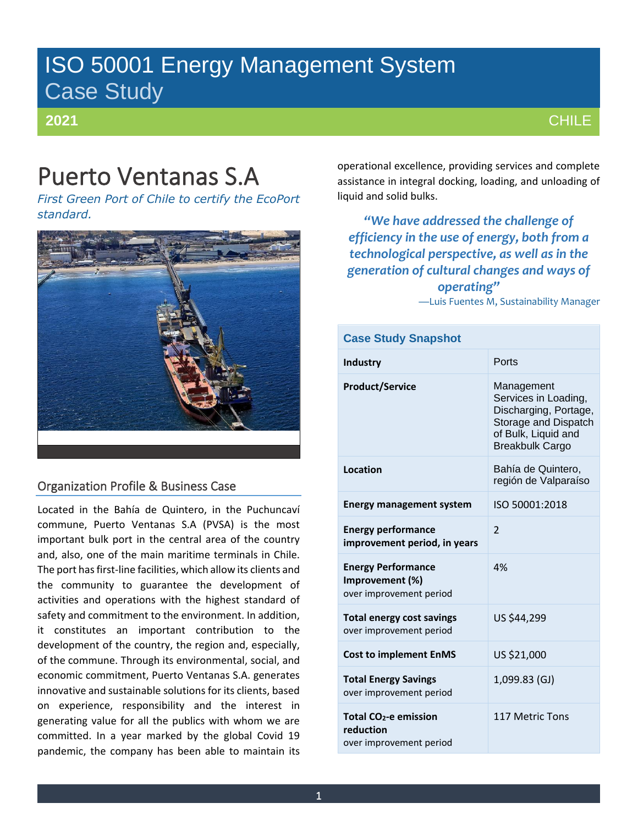# ISO 50001 Energy Management System Case Study

# **2021**

# Puerto Ventanas S.A

*First Green Port of Chile to certify the EcoPort standard.*



# Organization Profile & Business Case

Located in the Bahía de Quintero, in the Puchuncaví commune, Puerto Ventanas S.A (PVSA) is the most important bulk port in the central area of the country and, also, one of the main maritime terminals in Chile. The port has first-line facilities, which allow its clients and the community to guarantee the development of activities and operations with the highest standard of safety and commitment to the environment. In addition, it constitutes an important contribution to the development of the country, the region and, especially, of the commune. Through its environmental, social, and economic commitment, Puerto Ventanas S.A. generates innovative and sustainable solutions for its clients, based on experience, responsibility and the interest in generating value for all the publics with whom we are committed. In a year marked by the global Covid 19 pandemic, the company has been able to maintain its

operational excellence, providing services and complete assistance in integral docking, loading, and unloading of liquid and solid bulks.

*"We have addressed the challenge of efficiency in the use of energy, both from a technological perspective, as well as in the generation of cultural changes and ways of operating"*

—Luis Fuentes M, Sustainability Manager

| <b>Case Study Snapshot</b>                                                |                                                                                                                                      |
|---------------------------------------------------------------------------|--------------------------------------------------------------------------------------------------------------------------------------|
| Industry                                                                  | Ports                                                                                                                                |
| <b>Product/Service</b>                                                    | Management<br>Services in Loading,<br>Discharging, Portage,<br>Storage and Dispatch<br>of Bulk, Liquid and<br><b>Breakbulk Cargo</b> |
| Location                                                                  | Bahía de Quintero,<br>región de Valparaíso                                                                                           |
| <b>Energy management system</b>                                           | ISO 50001:2018                                                                                                                       |
| <b>Energy performance</b><br>improvement period, in years                 | $\overline{\phantom{a}}$                                                                                                             |
| <b>Energy Performance</b><br>Improvement (%)<br>over improvement period   | 4%                                                                                                                                   |
| <b>Total energy cost savings</b><br>over improvement period               | US \$44,299                                                                                                                          |
| <b>Cost to implement EnMS</b>                                             | US \$21,000                                                                                                                          |
| <b>Total Energy Savings</b><br>over improvement period                    | 1,099.83 (GJ)                                                                                                                        |
| Total CO <sub>2</sub> -e emission<br>reduction<br>over improvement period | 117 Metric Tons                                                                                                                      |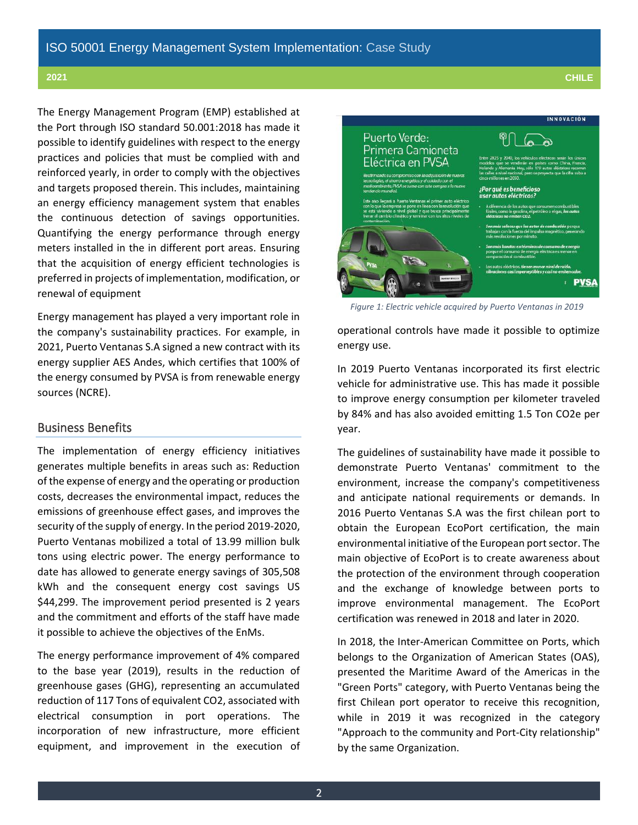### **2021 CHILE**

The Energy Management Program (EMP) established at the Port through ISO standard 50.001:2018 has made it possible to identify guidelines with respect to the energy practices and policies that must be complied with and reinforced yearly, in order to comply with the objectives and targets proposed therein. This includes, maintaining an energy efficiency management system that enables the continuous detection of savings opportunities. Quantifying the energy performance through energy meters installed in the in different port areas. Ensuring that the acquisition of energy efficient technologies is preferred in projects of implementation, modification, or renewal of equipment

Energy management has played a very important role in the company's sustainability practices. For example, in 2021, Puerto Ventanas S.A signed a new contract with its energy supplier AES Andes, which certifies that 100% of the energy consumed by PVSA is from renewable energy sources (NCRE).

# Business Benefits

The implementation of energy efficiency initiatives generates multiple benefits in areas such as: Reduction of the expense of energy and the operating or production costs, decreases the environmental impact, reduces the emissions of greenhouse effect gases, and improves the security of the supply of energy. In the period 2019-2020, Puerto Ventanas mobilized a total of 13.99 million bulk tons using electric power. The energy performance to date has allowed to generate energy savings of 305,508 kWh and the consequent energy cost savings US \$44,299. The improvement period presented is 2 years and the commitment and efforts of the staff have made it possible to achieve the objectives of the EnMs.

The energy performance improvement of 4% compared to the base year (2019), results in the reduction of greenhouse gases (GHG), representing an accumulated reduction of 117 Tons of equivalent CO2, associated with electrical consumption in port operations. The incorporation of new infrastructure, more efficient equipment, and improvement in the execution of



*Figure 1: Electric vehicle acquired by Puerto Ventanas in 2019*

operational controls have made it possible to optimize energy use.

In 2019 Puerto Ventanas incorporated its first electric vehicle for administrative use. This has made it possible to improve energy consumption per kilometer traveled by 84% and has also avoided emitting 1.5 Ton CO2e per year.

The guidelines of sustainability have made it possible to demonstrate Puerto Ventanas' commitment to the environment, increase the company's competitiveness and anticipate national requirements or demands. In 2016 Puerto Ventanas S.A was the first chilean port to obtain the European EcoPort certification, the main environmental initiative of the European port sector. The main objective of EcoPort is to create awareness about the protection of the environment through cooperation and the exchange of knowledge between ports to improve environmental management. The EcoPort certification was renewed in 2018 and later in 2020.

In 2018, the Inter-American Committee on Ports, which belongs to the Organization of American States (OAS), presented the Maritime Award of the Americas in the "Green Ports" category, with Puerto Ventanas being the first Chilean port operator to receive this recognition, while in 2019 it was recognized in the category "Approach to the community and Port-City relationship" by the same Organization.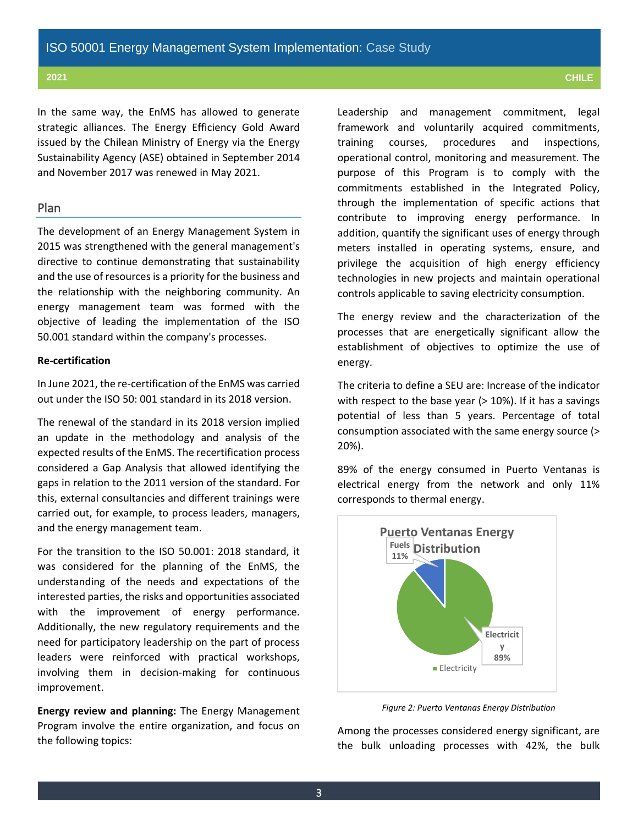**2021 CHILE**

In the same way, the EnMS has allowed to generate strategic alliances. The Energy Efficiency Gold Award issued by the Chilean Ministry of Energy via the Energy Sustainability Agency (ASE) obtained in September 2014 and November 2017 was renewed in May 2021.

# Plan

The development of an Energy Management System in 2015 was strengthened with the general management's directive to continue demonstrating that sustainability and the use of resources is a priority for the business and the relationship with the neighboring community. An energy management team was formed with the objective of leading the implementation of the ISO 50.001 standard within the company's processes.

## **Re-certification**

In June 2021, the re-certification of the EnMS was carried out under the ISO 50: 001 standard in its 2018 version.

The renewal of the standard in its 2018 version implied an update in the methodology and analysis of the expected results of the EnMS. The recertification process considered a Gap Analysis that allowed identifying the gaps in relation to the 2011 version of the standard. For this, external consultancies and different trainings were carried out, for example, to process leaders, managers, and the energy management team.

For the transition to the ISO 50.001: 2018 standard, it was considered for the planning of the EnMS, the understanding of the needs and expectations of the interested parties, the risks and opportunities associated with the improvement of energy performance. Additionally, the new regulatory requirements and the need for participatory leadership on the part of process leaders were reinforced with practical workshops, involving them in decision-making for continuous improvement.

**Energy review and planning:** The Energy Management Program involve the entire organization, and focus on the following topics:

Leadership and management commitment, legal framework and voluntarily acquired commitments, training courses, procedures and inspections, operational control, monitoring and measurement. The purpose of this Program is to comply with the commitments established in the Integrated Policy, through the implementation of specific actions that contribute to improving energy performance. In addition, quantify the significant uses of energy through meters installed in operating systems, ensure, and privilege the acquisition of high energy efficiency technologies in new projects and maintain operational controls applicable to saving electricity consumption.

The energy review and the characterization of the processes that are energetically significant allow the establishment of objectives to optimize the use of energy.

The criteria to define a SEU are: Increase of the indicator with respect to the base year  $(> 10\%)$ . If it has a savings potential of less than 5 years. Percentage of total consumption associated with the same energy source (> 20%).

89% of the energy consumed in Puerto Ventanas is electrical energy from the network and only 11% corresponds to thermal energy.



*Figure 2: Puerto Ventanas Energy Distribution*

Among the processes considered energy significant, are the bulk unloading processes with 42%, the bulk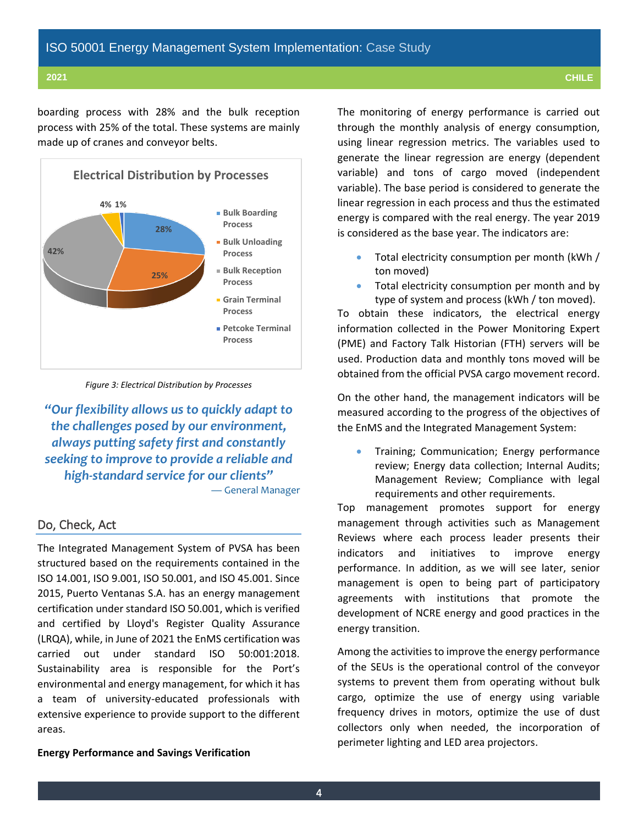boarding process with 28% and the bulk reception process with 25% of the total. These systems are mainly made up of cranes and conveyor belts.



*Figure 3: Electrical Distribution by Processes*

*"Our flexibility allows us to quickly adapt to the challenges posed by our environment, always putting safety first and constantly seeking to improve to provide a reliable and high-standard service for our clients"* — General Manager

# Do, Check, Act

The Integrated Management System of PVSA has been structured based on the requirements contained in the ISO 14.001, ISO 9.001, ISO 50.001, and ISO 45.001. Since 2015, Puerto Ventanas S.A. has an energy management certification under standard ISO 50.001, which is verified and certified by Lloyd's Register Quality Assurance (LRQA), while, in June of 2021 the EnMS certification was carried out under standard ISO 50:001:2018. Sustainability area is responsible for the Port's environmental and energy management, for which it has a team of university-educated professionals with extensive experience to provide support to the different areas.

**Energy Performance and Savings Verification**

The monitoring of energy performance is carried out through the monthly analysis of energy consumption, using linear regression metrics. The variables used to generate the linear regression are energy (dependent variable) and tons of cargo moved (independent variable). The base period is considered to generate the linear regression in each process and thus the estimated energy is compared with the real energy. The year 2019 is considered as the base year. The indicators are:

- Total electricity consumption per month (kWh / ton moved)
- Total electricity consumption per month and by type of system and process (kWh / ton moved).

To obtain these indicators, the electrical energy information collected in the Power Monitoring Expert (PME) and Factory Talk Historian (FTH) servers will be used. Production data and monthly tons moved will be obtained from the official PVSA cargo movement record.

On the other hand, the management indicators will be measured according to the progress of the objectives of the EnMS and the Integrated Management System:

**•** Training; Communication; Energy performance review; Energy data collection; Internal Audits; Management Review; Compliance with legal requirements and other requirements.

Top management promotes support for energy management through activities such as Management Reviews where each process leader presents their indicators and initiatives to improve energy performance. In addition, as we will see later, senior management is open to being part of participatory agreements with institutions that promote the development of NCRE energy and good practices in the energy transition.

Among the activities to improve the energy performance of the SEUs is the operational control of the conveyor systems to prevent them from operating without bulk cargo, optimize the use of energy using variable frequency drives in motors, optimize the use of dust collectors only when needed, the incorporation of perimeter lighting and LED area projectors.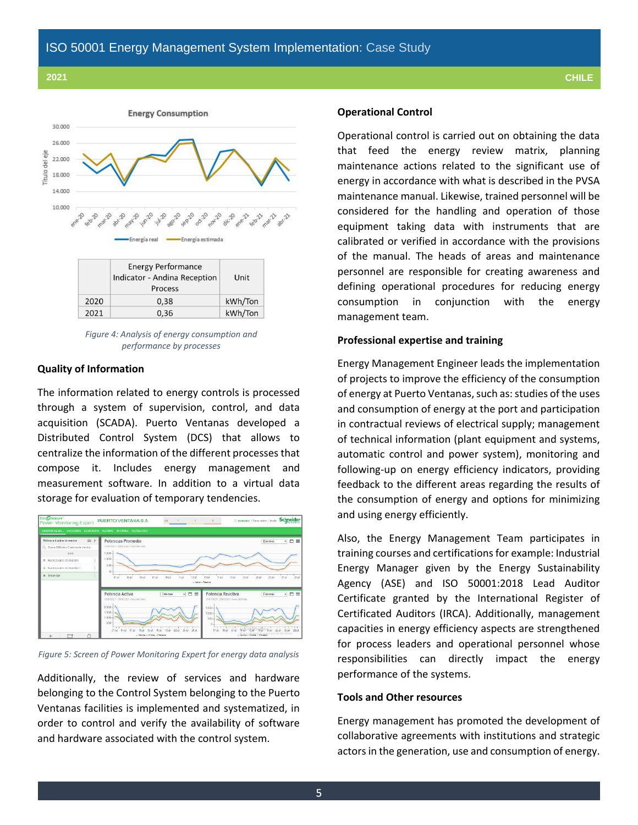

*Figure 4: Analysis of energy consumption and performance by processes*

## **Quality of Information**

The information related to energy controls is processed through a system of supervision, control, and data acquisition (SCADA). Puerto Ventanas developed a Distributed Control System (DCS) that allows to centralize the information of the different processes that compose it. Includes energy management and measurement software. In addition to a virtual data storage for evaluation of temporary tendencies.



*Figure 5: Screen of Power Monitoring Expert for energy data analysis*

Additionally, the review of services and hardware belonging to the Control System belonging to the Puerto Ventanas facilities is implemented and systematized, in order to control and verify the availability of software and hardware associated with the control system.

#### **Operational Control**

Operational control is carried out on obtaining the data that feed the energy review matrix, planning maintenance actions related to the significant use of energy in accordance with what is described in the PVSA maintenance manual. Likewise, trained personnel will be considered for the handling and operation of those equipment taking data with instruments that are calibrated or verified in accordance with the provisions of the manual. The heads of areas and maintenance personnel are responsible for creating awareness and defining operational procedures for reducing energy consumption in conjunction with the energy management team.

### **Professional expertise and training**

Energy Management Engineer leads the implementation of projects to improve the efficiency of the consumption of energy at Puerto Ventanas, such as: studies of the uses and consumption of energy at the port and participation in contractual reviews of electrical supply; management of technical information (plant equipment and systems, automatic control and power system), monitoring and following-up on energy efficiency indicators, providing feedback to the different areas regarding the results of the consumption of energy and options for minimizing and using energy efficiently.

Also, the Energy Management Team participates in training courses and certifications for example: Industrial Energy Manager given by the Energy Sustainability Agency (ASE) and ISO 50001:2018 Lead Auditor Certificate granted by the International Register of Certificated Auditors (IRCA). Additionally, management capacities in energy efficiency aspects are strengthened for process leaders and operational personnel whose responsibilities can directly impact the energy performance of the systems.

#### **Tools and Other resources**

Energy management has promoted the development of collaborative agreements with institutions and strategic actors in the generation, use and consumption of energy.